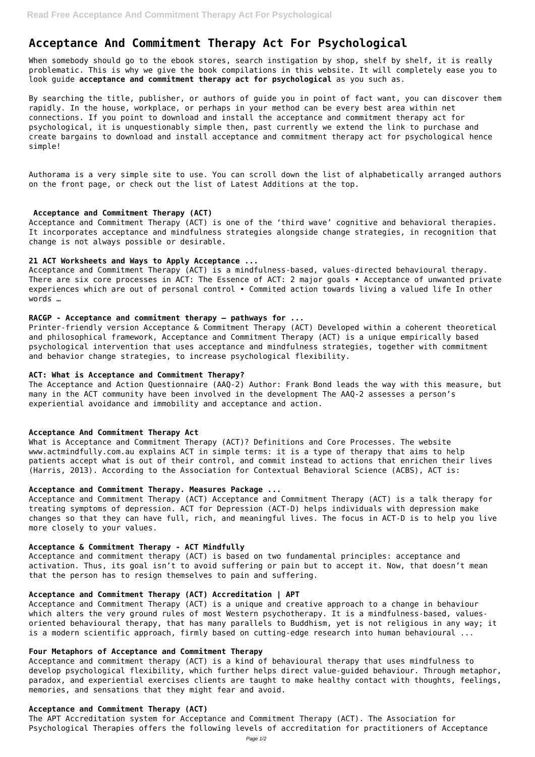# **Acceptance And Commitment Therapy Act For Psychological**

When somebody should go to the ebook stores, search instigation by shop, shelf by shelf, it is really problematic. This is why we give the book compilations in this website. It will completely ease you to look guide **acceptance and commitment therapy act for psychological** as you such as.

By searching the title, publisher, or authors of guide you in point of fact want, you can discover them rapidly. In the house, workplace, or perhaps in your method can be every best area within net connections. If you point to download and install the acceptance and commitment therapy act for psychological, it is unquestionably simple then, past currently we extend the link to purchase and create bargains to download and install acceptance and commitment therapy act for psychological hence simple!

Authorama is a very simple site to use. You can scroll down the list of alphabetically arranged authors on the front page, or check out the list of Latest Additions at the top.

## **Acceptance and Commitment Therapy (ACT)**

Acceptance and Commitment Therapy (ACT) is one of the 'third wave' cognitive and behavioral therapies. It incorporates acceptance and mindfulness strategies alongside change strategies, in recognition that change is not always possible or desirable.

## **21 ACT Worksheets and Ways to Apply Acceptance ...**

Acceptance and Commitment Therapy (ACT) is a mindfulness-based, values-directed behavioural therapy. There are six core processes in ACT: The Essence of ACT: 2 major goals • Acceptance of unwanted private experiences which are out of personal control • Commited action towards living a valued life In other words …

## **RACGP - Acceptance and commitment therapy – pathways for ...**

Printer-friendly version Acceptance & Commitment Therapy (ACT) Developed within a coherent theoretical and philosophical framework, Acceptance and Commitment Therapy (ACT) is a unique empirically based psychological intervention that uses acceptance and mindfulness strategies, together with commitment and behavior change strategies, to increase psychological flexibility.

## **ACT: What is Acceptance and Commitment Therapy?**

The Acceptance and Action Questionnaire (AAQ-2) Author: Frank Bond leads the way with this measure, but many in the ACT community have been involved in the development The AAQ-2 assesses a person's experiential avoidance and immobility and acceptance and action.

# **Acceptance And Commitment Therapy Act**

What is Acceptance and Commitment Therapy (ACT)? Definitions and Core Processes. The website www.actmindfully.com.au explains ACT in simple terms: it is a type of therapy that aims to help patients accept what is out of their control, and commit instead to actions that enrichen their lives (Harris, 2013). According to the Association for Contextual Behavioral Science (ACBS), ACT is:

## **Acceptance and Commitment Therapy. Measures Package ...**

Acceptance and Commitment Therapy (ACT) Acceptance and Commitment Therapy (ACT) is a talk therapy for treating symptoms of depression. ACT for Depression (ACT-D) helps individuals with depression make changes so that they can have full, rich, and meaningful lives. The focus in ACT-D is to help you live more closely to your values.

# **Acceptance & Commitment Therapy - ACT Mindfully**

Acceptance and commitment therapy (ACT) is based on two fundamental principles: acceptance and activation. Thus, its goal isn't to avoid suffering or pain but to accept it. Now, that doesn't mean

that the person has to resign themselves to pain and suffering.

## **Acceptance and Commitment Therapy (ACT) Accreditation | APT**

Acceptance and Commitment Therapy (ACT) is a unique and creative approach to a change in behaviour which alters the very ground rules of most Western psychotherapy. It is a mindfulness-based, valuesoriented behavioural therapy, that has many parallels to Buddhism, yet is not religious in any way; it is a modern scientific approach, firmly based on cutting-edge research into human behavioural ...

## **Four Metaphors of Acceptance and Commitment Therapy**

Acceptance and commitment therapy (ACT) is a kind of behavioural therapy that uses mindfulness to develop psychological flexibility, which further helps direct value-guided behaviour. Through metaphor, paradox, and experiential exercises clients are taught to make healthy contact with thoughts, feelings, memories, and sensations that they might fear and avoid.

#### **Acceptance and Commitment Therapy (ACT)**

The APT Accreditation system for Acceptance and Commitment Therapy (ACT). The Association for Psychological Therapies offers the following levels of accreditation for practitioners of Acceptance